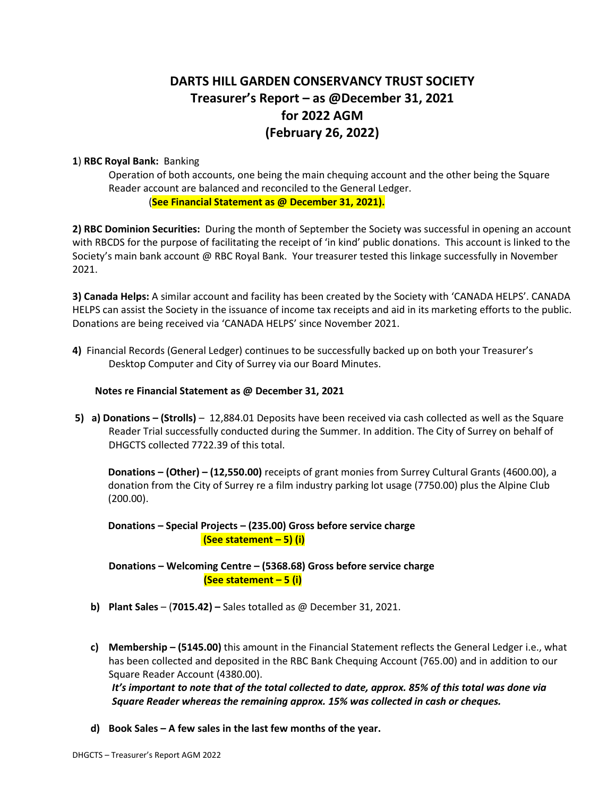# **DARTS HILL GARDEN CONSERVANCY TRUST SOCIETY Treasurer's Report – as @December 31, 2021 for 2022 AGM (February 26, 2022)**

#### **1**) **RBC Royal Bank:** Banking

Operation of both accounts, one being the main chequing account and the other being the Square Reader account are balanced and reconciled to the General Ledger. (**See Financial Statement as @ December 31, 2021).**

**2) RBC Dominion Securities:** During the month of September the Society was successful in opening an account with RBCDS for the purpose of facilitating the receipt of 'in kind' public donations. This account is linked to the Society's main bank account @ RBC Royal Bank. Your treasurer tested this linkage successfully in November 2021.

**3) Canada Helps:** A similar account and facility has been created by the Society with 'CANADA HELPS'. CANADA HELPS can assist the Society in the issuance of income tax receipts and aid in its marketing efforts to the public. Donations are being received via 'CANADA HELPS' since November 2021.

**4)** Financial Records (General Ledger) continues to be successfully backed up on both your Treasurer's Desktop Computer and City of Surrey via our Board Minutes.

#### **Notes re Financial Statement as @ December 31, 2021**

**5) a) Donations – (Strolls)** – 12,884.01 Deposits have been received via cash collected as well as the Square Reader Trial successfully conducted during the Summer. In addition. The City of Surrey on behalf of DHGCTS collected 7722.39 of this total.

**Donations – (Other) – (12,550.00)** receipts of grant monies from Surrey Cultural Grants (4600.00), a donation from the City of Surrey re a film industry parking lot usage (7750.00) plus the Alpine Club (200.00).

**Donations – Special Projects – (235.00) Gross before service charge (See statement – 5) (i)**

**Donations – Welcoming Centre – (5368.68) Gross before service charge (See statement – 5 (i)**

- **b) Plant Sales** (**7015.42) –** Sales totalled as @ December 31, 2021.
- **c) Membership – (5145.00)** this amount in the Financial Statement reflects the General Ledger i.e., what has been collected and deposited in the RBC Bank Chequing Account (765.00) and in addition to our Square Reader Account (4380.00).

*It's important to note that of the total collected to date, approx. 85% of this total was done via Square Reader whereas the remaining approx. 15% was collected in cash or cheques.*

**d) Book Sales – A few sales in the last few months of the year.**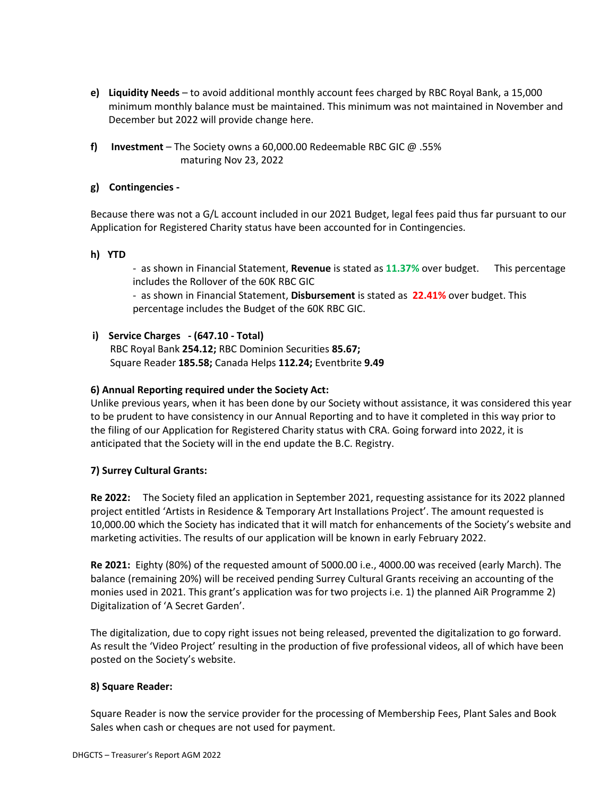- **e) Liquidity Needs** to avoid additional monthly account fees charged by RBC Royal Bank, a 15,000 minimum monthly balance must be maintained. This minimum was not maintained in November and December but 2022 will provide change here.
- **f) Investment** The Society owns a 60,000.00 Redeemable RBC GIC @ .55% maturing Nov 23, 2022

### **g) Contingencies -**

Because there was not a G/L account included in our 2021 Budget, legal fees paid thus far pursuant to our Application for Registered Charity status have been accounted for in Contingencies.

### **h) YTD**

- as shown in Financial Statement, **Revenue** is stated as **11.37%** over budget. This percentage includes the Rollover of the 60K RBC GIC

- as shown in Financial Statement, **Disbursement** is stated as **22.41%** over budget. This percentage includes the Budget of the 60K RBC GIC.

# **i) Service Charges - (647.10 - Total)**

RBC Royal Bank **254.12;** RBC Dominion Securities **85.67;** Square Reader **185.58;** Canada Helps **112.24;** Eventbrite **9.49**

### **6) Annual Reporting required under the Society Act:**

Unlike previous years, when it has been done by our Society without assistance, it was considered this year to be prudent to have consistency in our Annual Reporting and to have it completed in this way prior to the filing of our Application for Registered Charity status with CRA. Going forward into 2022, it is anticipated that the Society will in the end update the B.C. Registry.

### **7) Surrey Cultural Grants:**

**Re 2022:** The Society filed an application in September 2021, requesting assistance for its 2022 planned project entitled 'Artists in Residence & Temporary Art Installations Project'. The amount requested is 10,000.00 which the Society has indicated that it will match for enhancements of the Society's website and marketing activities. The results of our application will be known in early February 2022.

**Re 2021:** Eighty (80%) of the requested amount of 5000.00 i.e., 4000.00 was received (early March). The balance (remaining 20%) will be received pending Surrey Cultural Grants receiving an accounting of the monies used in 2021. This grant's application was for two projects i.e. 1) the planned AiR Programme 2) Digitalization of 'A Secret Garden'.

The digitalization, due to copy right issues not being released, prevented the digitalization to go forward. As result the 'Video Project' resulting in the production of five professional videos, all of which have been posted on the Society's website.

### **8) Square Reader:**

Square Reader is now the service provider for the processing of Membership Fees, Plant Sales and Book Sales when cash or cheques are not used for payment.